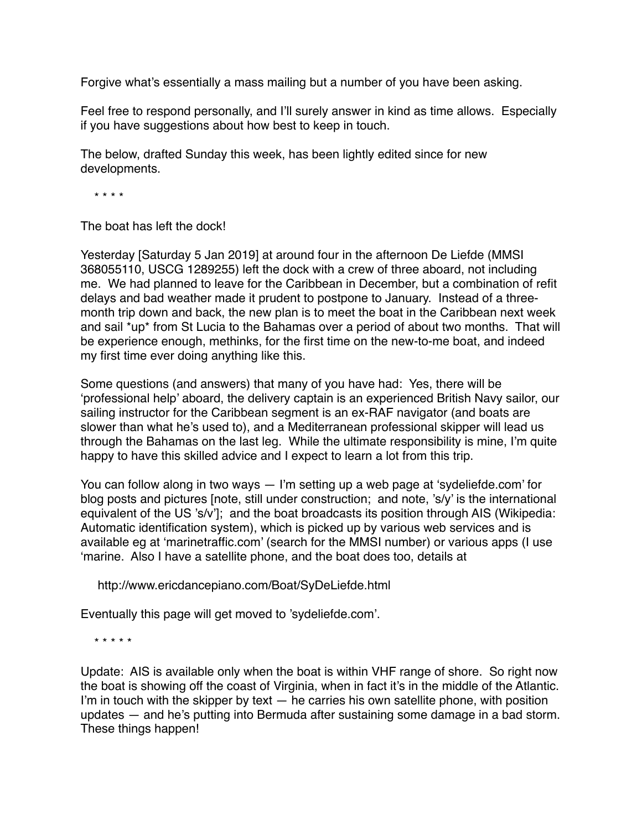Forgive what's essentially a mass mailing but a number of you have been asking.

Feel free to respond personally, and I'll surely answer in kind as time allows. Especially if you have suggestions about how best to keep in touch.

The below, drafted Sunday this week, has been lightly edited since for new developments.

\* \* \* \*

The boat has left the dock!

Yesterday [Saturday 5 Jan 2019] at around four in the afternoon De Liefde (MMSI 368055110, USCG 1289255) left the dock with a crew of three aboard, not including me. We had planned to leave for the Caribbean in December, but a combination of refit delays and bad weather made it prudent to postpone to January. Instead of a threemonth trip down and back, the new plan is to meet the boat in the Caribbean next week and sail \*up\* from St Lucia to the Bahamas over a period of about two months. That will be experience enough, methinks, for the first time on the new-to-me boat, and indeed my first time ever doing anything like this.

Some questions (and answers) that many of you have had: Yes, there will be 'professional help' aboard, the delivery captain is an experienced British Navy sailor, our sailing instructor for the Caribbean segment is an ex-RAF navigator (and boats are slower than what he's used to), and a Mediterranean professional skipper will lead us through the Bahamas on the last leg. While the ultimate responsibility is mine, I'm quite happy to have this skilled advice and I expect to learn a lot from this trip.

You can follow along in two ways — I'm setting up a web page at 'sydeliefde.com' for blog posts and pictures [note, still under construction; and note, 's/y' is the international equivalent of the US 's/v']; and the boat broadcasts its position through AIS (Wikipedia: Automatic identification system), which is picked up by various web services and is available eg at 'marinetraffic.com' (search for the MMSI number) or various apps (I use 'marine. Also I have a satellite phone, and the boat does too, details at

http://www.ericdancepiano.com/Boat/SyDeLiefde.html

Eventually this page will get moved to 'sydeliefde.com'.

\* \* \* \* \*

Update: AIS is available only when the boat is within VHF range of shore. So right now the boat is showing off the coast of Virginia, when in fact it's in the middle of the Atlantic. I'm in touch with the skipper by text  $-$  he carries his own satellite phone, with position updates — and he's putting into Bermuda after sustaining some damage in a bad storm. These things happen!